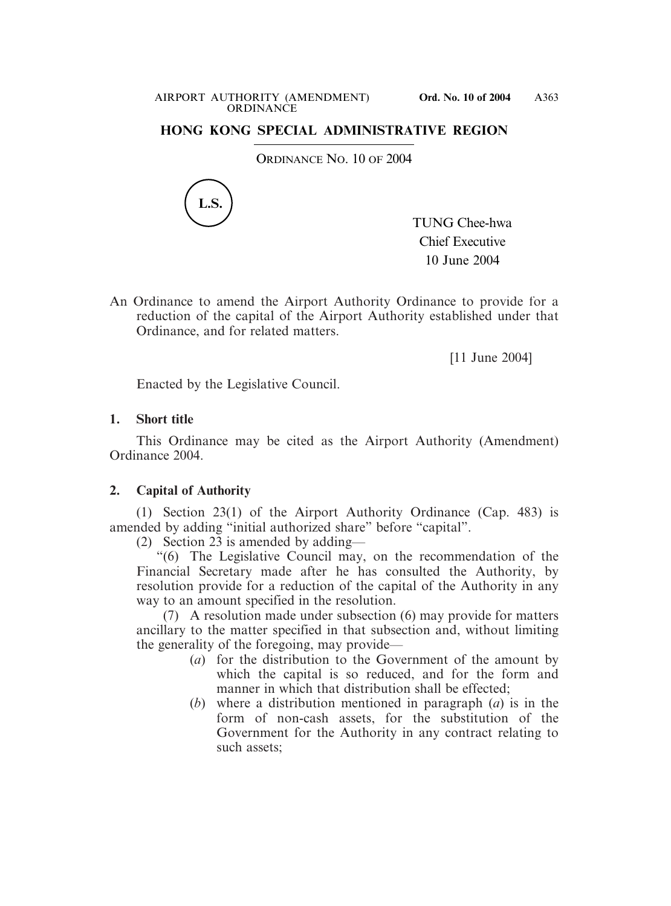#### AIRPORT AUTHORITY (AMENDMENT) **Ord. No. 10 of 2004 ORDINANCE**

# **HONG KONG SPECIAL ADMINISTRATIVE REGION**

ORDINANCE NO. 10 OF 2004



TUNG Chee-hwa Chief Executive 10 June 2004

An Ordinance to amend the Airport Authority Ordinance to provide for a reduction of the capital of the Airport Authority established under that Ordinance, and for related matters.

[11 June 2004]

Enacted by the Legislative Council.

### **1. Short title**

This Ordinance may be cited as the Airport Authority (Amendment) Ordinance 2004.

## **2. Capital of Authority**

(1) Section 23(1) of the Airport Authority Ordinance (Cap. 483) is amended by adding "initial authorized share" before "capital".

(2) Section 23 is amended by adding—

"(6) The Legislative Council may, on the recommendation of the Financial Secretary made after he has consulted the Authority, by resolution provide for a reduction of the capital of the Authority in any way to an amount specified in the resolution.

(7) A resolution made under subsection (6) may provide for matters ancillary to the matter specified in that subsection and, without limiting the generality of the foregoing, may provide—

- (*a*) for the distribution to the Government of the amount by which the capital is so reduced, and for the form and manner in which that distribution shall be effected;
- (*b*) where a distribution mentioned in paragraph (*a*) is in the form of non-cash assets, for the substitution of the Government for the Authority in any contract relating to such assets;